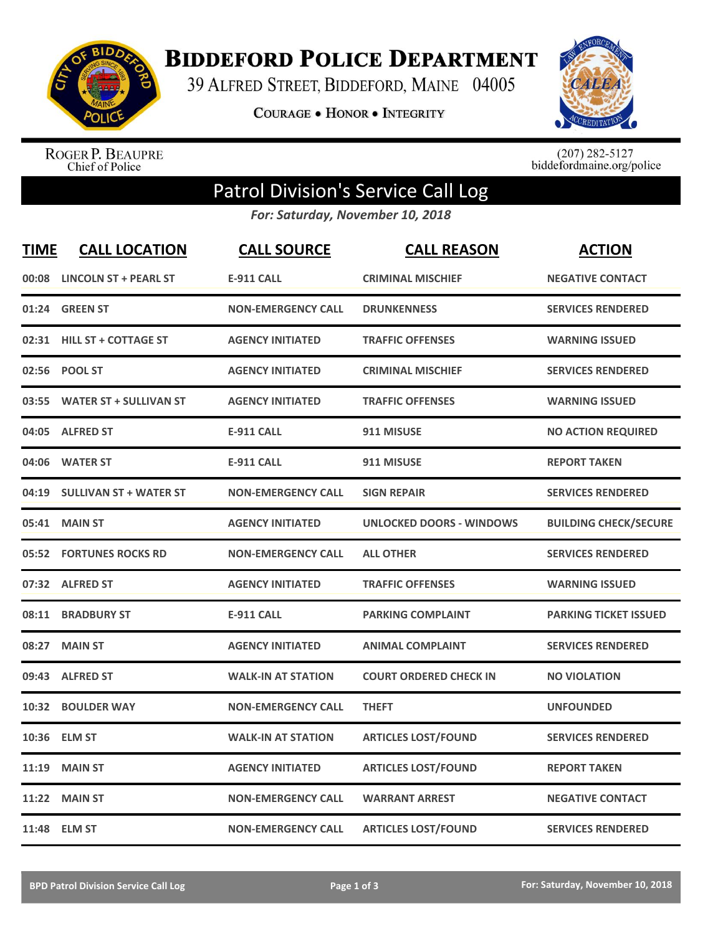

**BIDDEFORD POLICE DEPARTMENT** 

39 ALFRED STREET, BIDDEFORD, MAINE 04005

**COURAGE . HONOR . INTEGRITY** 



ROGER P. BEAUPRE<br>Chief of Police

 $(207)$  282-5127<br>biddefordmaine.org/police

## Patrol Division's Service Call Log

*For: Saturday, November 10, 2018*

| <b>TIME</b> | <b>CALL LOCATION</b>           | <b>CALL SOURCE</b>        | <b>CALL REASON</b>              | <b>ACTION</b>                |
|-------------|--------------------------------|---------------------------|---------------------------------|------------------------------|
| 00:08       | <b>LINCOLN ST + PEARL ST</b>   | <b>E-911 CALL</b>         | <b>CRIMINAL MISCHIEF</b>        | <b>NEGATIVE CONTACT</b>      |
| 01:24       | <b>GREEN ST</b>                | <b>NON-EMERGENCY CALL</b> | <b>DRUNKENNESS</b>              | <b>SERVICES RENDERED</b>     |
|             | 02:31 HILL ST + COTTAGE ST     | <b>AGENCY INITIATED</b>   | <b>TRAFFIC OFFENSES</b>         | <b>WARNING ISSUED</b>        |
| 02:56       | <b>POOL ST</b>                 | <b>AGENCY INITIATED</b>   | <b>CRIMINAL MISCHIEF</b>        | <b>SERVICES RENDERED</b>     |
| 03:55       | <b>WATER ST + SULLIVAN ST</b>  | <b>AGENCY INITIATED</b>   | <b>TRAFFIC OFFENSES</b>         | <b>WARNING ISSUED</b>        |
|             | 04:05 ALFRED ST                | <b>E-911 CALL</b>         | 911 MISUSE                      | <b>NO ACTION REQUIRED</b>    |
| 04:06       | <b>WATER ST</b>                | <b>E-911 CALL</b>         | 911 MISUSE                      | <b>REPORT TAKEN</b>          |
| 04:19       | <b>SULLIVAN ST + WATER ST</b>  | <b>NON-EMERGENCY CALL</b> | <b>SIGN REPAIR</b>              | <b>SERVICES RENDERED</b>     |
| 05:41       | <b>MAIN ST</b>                 | <b>AGENCY INITIATED</b>   | <b>UNLOCKED DOORS - WINDOWS</b> | <b>BUILDING CHECK/SECURE</b> |
|             | <b>05:52 FORTUNES ROCKS RD</b> | <b>NON-EMERGENCY CALL</b> | <b>ALL OTHER</b>                | <b>SERVICES RENDERED</b>     |
|             | 07:32 ALFRED ST                | <b>AGENCY INITIATED</b>   | <b>TRAFFIC OFFENSES</b>         | <b>WARNING ISSUED</b>        |
| 08:11       | <b>BRADBURY ST</b>             | <b>E-911 CALL</b>         | <b>PARKING COMPLAINT</b>        | <b>PARKING TICKET ISSUED</b> |
| 08:27       | <b>MAIN ST</b>                 | <b>AGENCY INITIATED</b>   | <b>ANIMAL COMPLAINT</b>         | <b>SERVICES RENDERED</b>     |
| 09:43       | <b>ALFRED ST</b>               | <b>WALK-IN AT STATION</b> | <b>COURT ORDERED CHECK IN</b>   | <b>NO VIOLATION</b>          |
| 10:32       | <b>BOULDER WAY</b>             | <b>NON-EMERGENCY CALL</b> | <b>THEFT</b>                    | <b>UNFOUNDED</b>             |
|             | 10:36 ELM ST                   | <b>WALK-IN AT STATION</b> | <b>ARTICLES LOST/FOUND</b>      | <b>SERVICES RENDERED</b>     |
| 11:19       | <b>MAIN ST</b>                 | <b>AGENCY INITIATED</b>   | <b>ARTICLES LOST/FOUND</b>      | <b>REPORT TAKEN</b>          |
| 11:22       | <b>MAIN ST</b>                 | <b>NON-EMERGENCY CALL</b> | <b>WARRANT ARREST</b>           | <b>NEGATIVE CONTACT</b>      |
|             | 11:48 ELM ST                   | <b>NON-EMERGENCY CALL</b> | <b>ARTICLES LOST/FOUND</b>      | <b>SERVICES RENDERED</b>     |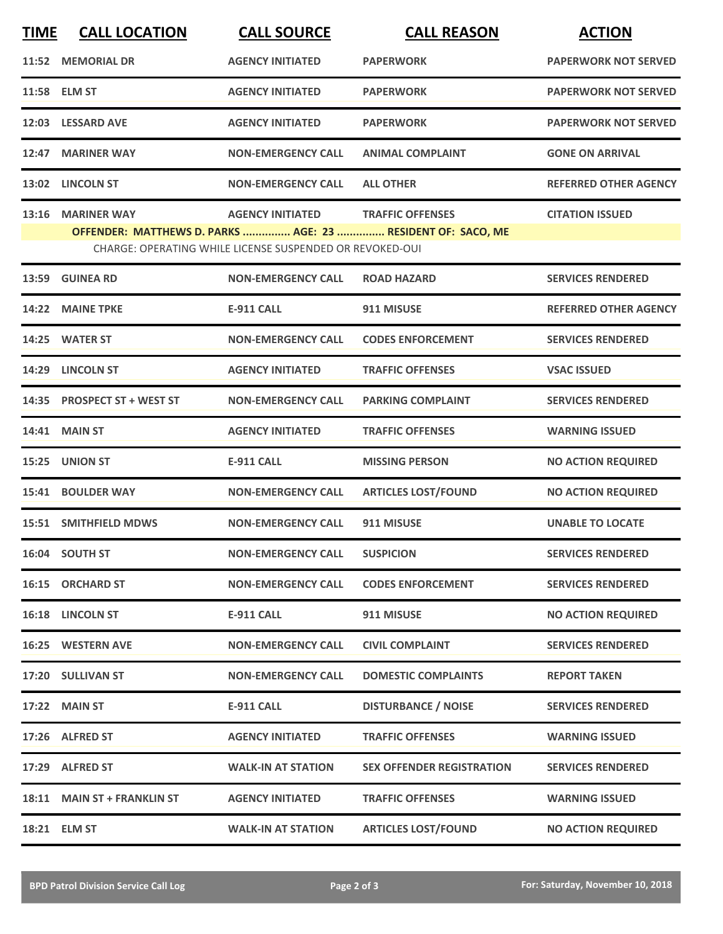| <b>TIME</b>                                                                                                             | <b>CALL LOCATION</b>        | <b>CALL SOURCE</b>        | <b>CALL REASON</b>               | <b>ACTION</b>                |  |  |
|-------------------------------------------------------------------------------------------------------------------------|-----------------------------|---------------------------|----------------------------------|------------------------------|--|--|
|                                                                                                                         | 11:52 MEMORIAL DR           | <b>AGENCY INITIATED</b>   | <b>PAPERWORK</b>                 | <b>PAPERWORK NOT SERVED</b>  |  |  |
|                                                                                                                         | 11:58 ELM ST                | <b>AGENCY INITIATED</b>   | <b>PAPERWORK</b>                 | <b>PAPERWORK NOT SERVED</b>  |  |  |
|                                                                                                                         | 12:03 LESSARD AVE           | <b>AGENCY INITIATED</b>   | <b>PAPERWORK</b>                 | <b>PAPERWORK NOT SERVED</b>  |  |  |
|                                                                                                                         | 12:47 MARINER WAY           | <b>NON-EMERGENCY CALL</b> | <b>ANIMAL COMPLAINT</b>          | <b>GONE ON ARRIVAL</b>       |  |  |
|                                                                                                                         | 13:02 LINCOLN ST            | <b>NON-EMERGENCY CALL</b> | <b>ALL OTHER</b>                 | <b>REFERRED OTHER AGENCY</b> |  |  |
|                                                                                                                         | 13:16 MARINER WAY           | <b>AGENCY INITIATED</b>   | <b>TRAFFIC OFFENSES</b>          | <b>CITATION ISSUED</b>       |  |  |
| OFFENDER: MATTHEWS D. PARKS  AGE: 23  RESIDENT OF: SACO, ME<br>CHARGE: OPERATING WHILE LICENSE SUSPENDED OR REVOKED-OUI |                             |                           |                                  |                              |  |  |
| 13:59                                                                                                                   | <b>GUINEA RD</b>            | <b>NON-EMERGENCY CALL</b> | <b>ROAD HAZARD</b>               | <b>SERVICES RENDERED</b>     |  |  |
|                                                                                                                         | 14:22 MAINE TPKE            | <b>E-911 CALL</b>         | 911 MISUSE                       | <b>REFERRED OTHER AGENCY</b> |  |  |
|                                                                                                                         | 14:25 WATER ST              | <b>NON-EMERGENCY CALL</b> | <b>CODES ENFORCEMENT</b>         | <b>SERVICES RENDERED</b>     |  |  |
|                                                                                                                         | 14:29 LINCOLN ST            | <b>AGENCY INITIATED</b>   | <b>TRAFFIC OFFENSES</b>          | <b>VSAC ISSUED</b>           |  |  |
|                                                                                                                         | 14:35 PROSPECT ST + WEST ST | <b>NON-EMERGENCY CALL</b> | <b>PARKING COMPLAINT</b>         | <b>SERVICES RENDERED</b>     |  |  |
|                                                                                                                         | 14:41 MAIN ST               | <b>AGENCY INITIATED</b>   | <b>TRAFFIC OFFENSES</b>          | <b>WARNING ISSUED</b>        |  |  |
|                                                                                                                         | 15:25 UNION ST              | <b>E-911 CALL</b>         | <b>MISSING PERSON</b>            | <b>NO ACTION REQUIRED</b>    |  |  |
|                                                                                                                         | 15:41 BOULDER WAY           | <b>NON-EMERGENCY CALL</b> | <b>ARTICLES LOST/FOUND</b>       | <b>NO ACTION REQUIRED</b>    |  |  |
|                                                                                                                         | 15:51 SMITHFIELD MDWS       | <b>NON-EMERGENCY CALL</b> | 911 MISUSE                       | <b>UNABLE TO LOCATE</b>      |  |  |
|                                                                                                                         | 16:04 SOUTH ST              | <b>NON-EMERGENCY CALL</b> | <b>SUSPICION</b>                 | <b>SERVICES RENDERED</b>     |  |  |
|                                                                                                                         | 16:15 ORCHARD ST            | <b>NON-EMERGENCY CALL</b> | <b>CODES ENFORCEMENT</b>         | <b>SERVICES RENDERED</b>     |  |  |
|                                                                                                                         | 16:18 LINCOLN ST            | <b>E-911 CALL</b>         | 911 MISUSE                       | <b>NO ACTION REQUIRED</b>    |  |  |
|                                                                                                                         | 16:25 WESTERN AVE           | <b>NON-EMERGENCY CALL</b> | <b>CIVIL COMPLAINT</b>           | <b>SERVICES RENDERED</b>     |  |  |
|                                                                                                                         | 17:20 SULLIVAN ST           | <b>NON-EMERGENCY CALL</b> | <b>DOMESTIC COMPLAINTS</b>       | <b>REPORT TAKEN</b>          |  |  |
|                                                                                                                         | 17:22 MAIN ST               | <b>E-911 CALL</b>         | <b>DISTURBANCE / NOISE</b>       | <b>SERVICES RENDERED</b>     |  |  |
|                                                                                                                         | 17:26 ALFRED ST             | <b>AGENCY INITIATED</b>   | <b>TRAFFIC OFFENSES</b>          | <b>WARNING ISSUED</b>        |  |  |
|                                                                                                                         | 17:29 ALFRED ST             | <b>WALK-IN AT STATION</b> | <b>SEX OFFENDER REGISTRATION</b> | <b>SERVICES RENDERED</b>     |  |  |
|                                                                                                                         | 18:11 MAIN ST + FRANKLIN ST | <b>AGENCY INITIATED</b>   | <b>TRAFFIC OFFENSES</b>          | <b>WARNING ISSUED</b>        |  |  |
|                                                                                                                         | 18:21 ELM ST                | <b>WALK-IN AT STATION</b> | <b>ARTICLES LOST/FOUND</b>       | <b>NO ACTION REQUIRED</b>    |  |  |